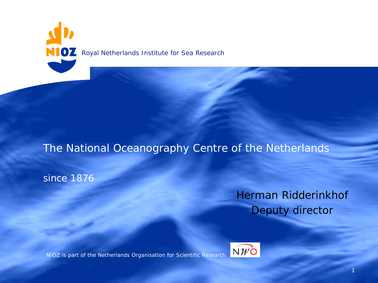

# The National Oceanography Centre of the Netherlands

### since 1876

# Herman Ridderinkhof Deputy director

NIOZ is part of the Netherlands Organisation for Scientific Research

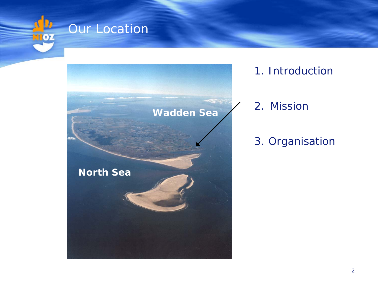



1. Introduction

# 2. Mission

# 3. Organisation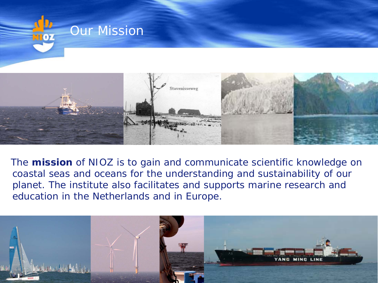

The **mission** of NIOZ is to gain and communicate scientific knowledge on coastal seas and oceans for the understanding and sustainability of our planet. The institute also facilitates and supports marine research and education in the Netherlands and in Europe.

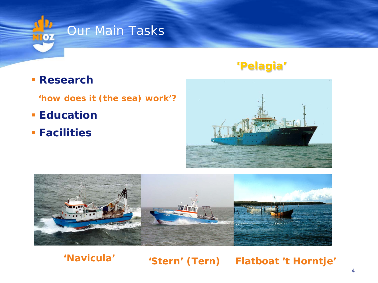

## **Research**

**'how does it (the sea) work'?**

- **Education**
- **Facilities**

# **'Pelagia'**





**'Navicula' 'Stern' (Tern) Flatboat 't Horntje'**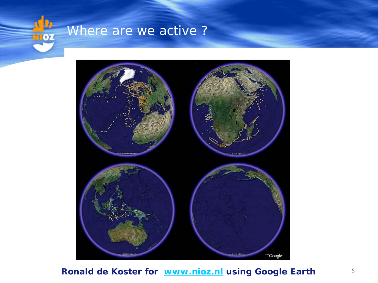

# Where are we active ?



#### **Ronald de Koster for [www.nioz.nl](http://www.nioz.nl/) using Google Earth**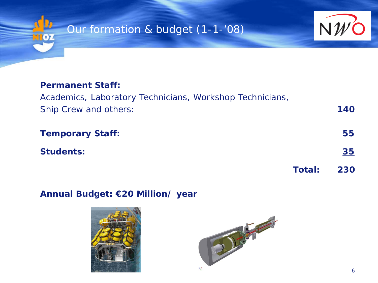



#### **Permanent Staff:**

## Academics, Laboratory Technicians, Workshop Technicians, Ship Crew and others: **140**

| <b>Temporary Staff:</b> |                   | 55        |
|-------------------------|-------------------|-----------|
| <b>Students:</b>        |                   | <u>35</u> |
|                         | <b>Total: 230</b> |           |

#### **Annual Budget: €20 Million/ year**



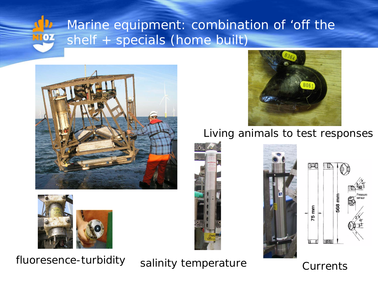## Marine equipment: combination of 'off the shelf + specials (home built) $\mathbf{p}$





# fluoresence-turbidity salinity temperature Currents



# Living animals to test responses



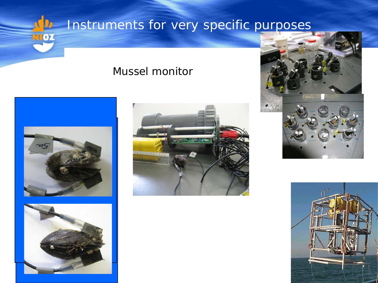

# Mussel monitor









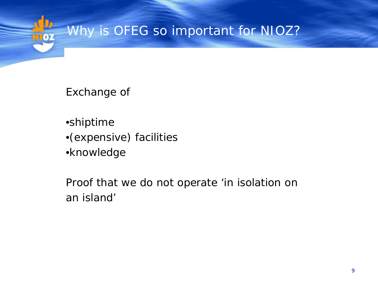

Exchange of

•shiptime

- •(expensive) facilities
- •knowledge

Proof that we do not operate 'in isolation on an island'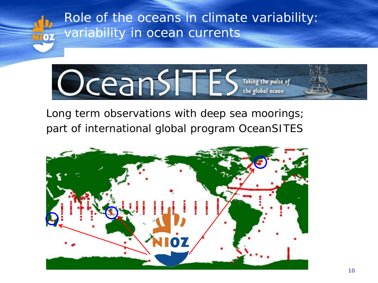



Long term observations with deep sea moorings; part of international global program OceanSITES